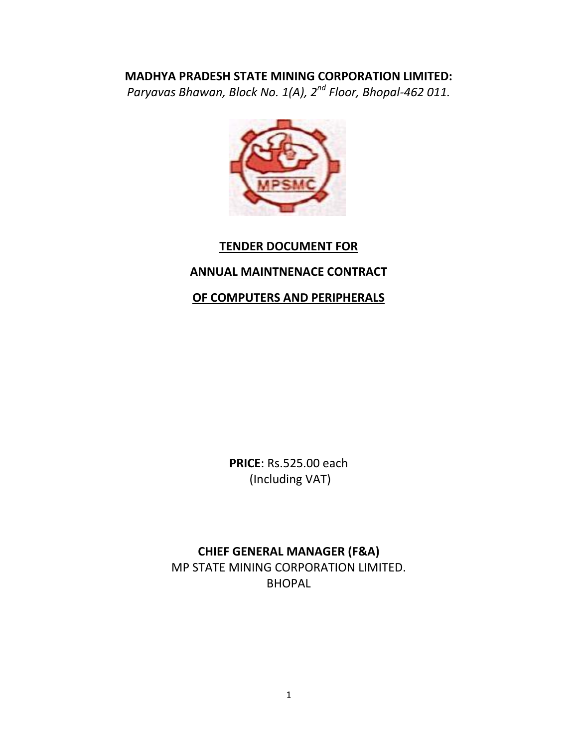*Paryavas Bhawan, Block No. 1(A), 2 nd Floor, Bhopal-462 011.*



### **TENDER DOCUMENT FOR**

# **ANNUAL MAINTNENACE CONTRACT**

### **OF COMPUTERS AND PERIPHERALS**

**PRICE**: Rs.525.00 each (Including VAT)

# **CHIEF GENERAL MANAGER (F&A)** MP STATE MINING CORPORATION LIMITED. BHOPAL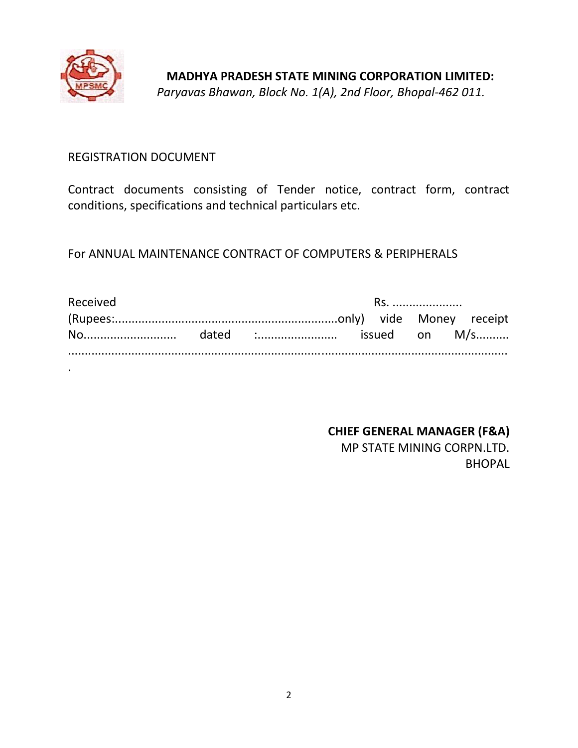

### REGISTRATION DOCUMENT

Contract documents consisting of Tender notice, contract form, contract conditions, specifications and technical particulars etc.

For ANNUAL MAINTENANCE CONTRACT OF COMPUTERS & PERIPHERALS

| Received | RS. |  |  |  |  |  |
|----------|-----|--|--|--|--|--|
|          |     |  |  |  |  |  |
|          |     |  |  |  |  |  |
|          |     |  |  |  |  |  |

**CHIEF GENERAL MANAGER (F&A)** MP STATE MINING CORPN.LTD. **BHOPAL**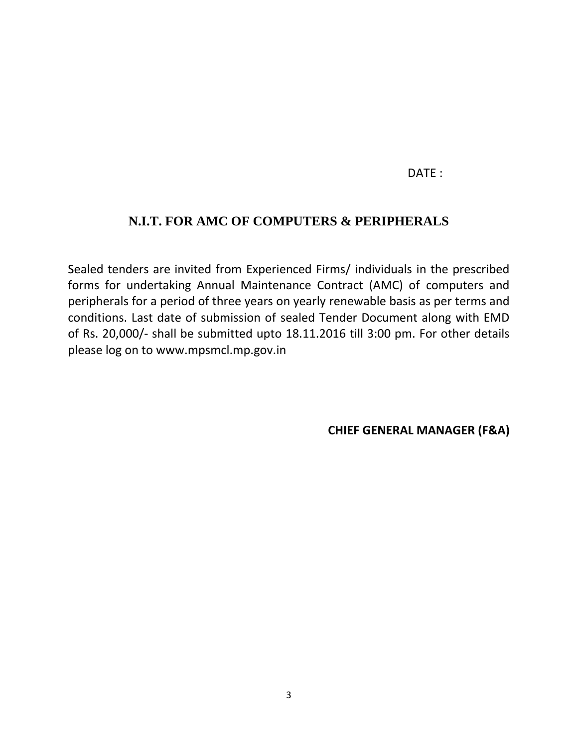### DATF :

### **N.I.T. FOR AMC OF COMPUTERS & PERIPHERALS**

Sealed tenders are invited from Experienced Firms/ individuals in the prescribed forms for undertaking Annual Maintenance Contract (AMC) of computers and peripherals for a period of three years on yearly renewable basis as per terms and conditions. Last date of submission of sealed Tender Document along with EMD of Rs. 20,000/- shall be submitted upto 18.11.2016 till 3:00 pm. For other details please log on to www.mpsmcl.mp.gov.in

**CHIEF GENERAL MANAGER (F&A)**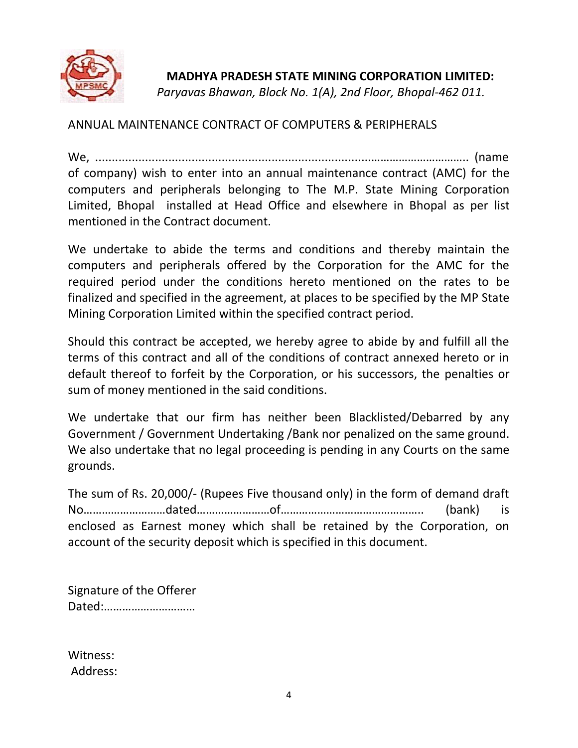

*Paryavas Bhawan, Block No. 1(A), 2nd Floor, Bhopal-462 011.*

ANNUAL MAINTENANCE CONTRACT OF COMPUTERS & PERIPHERALS

We, ...................................................................................………………………….. (name of company) wish to enter into an annual maintenance contract (AMC) for the computers and peripherals belonging to The M.P. State Mining Corporation Limited, Bhopal installed at Head Office and elsewhere in Bhopal as per list mentioned in the Contract document.

We undertake to abide the terms and conditions and thereby maintain the computers and peripherals offered by the Corporation for the AMC for the required period under the conditions hereto mentioned on the rates to be finalized and specified in the agreement, at places to be specified by the MP State Mining Corporation Limited within the specified contract period.

Should this contract be accepted, we hereby agree to abide by and fulfill all the terms of this contract and all of the conditions of contract annexed hereto or in default thereof to forfeit by the Corporation, or his successors, the penalties or sum of money mentioned in the said conditions.

We undertake that our firm has neither been Blacklisted/Debarred by any Government / Government Undertaking /Bank nor penalized on the same ground. We also undertake that no legal proceeding is pending in any Courts on the same grounds.

The sum of Rs. 20,000/- (Rupees Five thousand only) in the form of demand draft No………………………dated……………………of……………………………………….. (bank) is enclosed as Earnest money which shall be retained by the Corporation, on account of the security deposit which is specified in this document.

Signature of the Offerer Dated:…………………………

Witness: Address: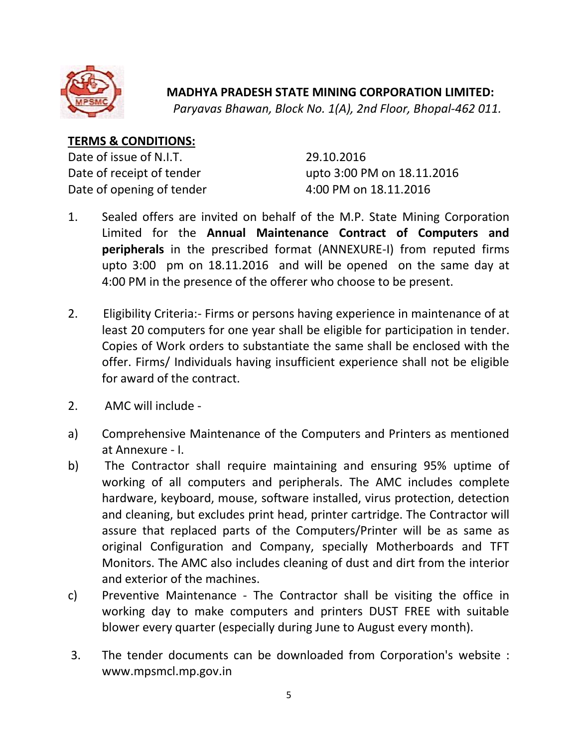

*Paryavas Bhawan, Block No. 1(A), 2nd Floor, Bhopal-462 011.*

### **TERMS & CONDITIONS:**

Date of issue of N.I.T. 29.10.2016 Date of opening of tender 4:00 PM on 18.11.2016

Date of receipt of tender upto 3:00 PM on 18.11.2016

- 1. Sealed offers are invited on behalf of the M.P. State Mining Corporation Limited for the **Annual Maintenance Contract of Computers and peripherals** in the prescribed format (ANNEXURE-I) from reputed firms upto 3:00 pm on 18.11.2016 and will be opened on the same day at 4:00 PM in the presence of the offerer who choose to be present.
- 2. Eligibility Criteria:- Firms or persons having experience in maintenance of at least 20 computers for one year shall be eligible for participation in tender. Copies of Work orders to substantiate the same shall be enclosed with the offer. Firms/ Individuals having insufficient experience shall not be eligible for award of the contract.
- 2. AMC will include -
- a) Comprehensive Maintenance of the Computers and Printers as mentioned at Annexure - I.
- b) The Contractor shall require maintaining and ensuring 95% uptime of working of all computers and peripherals. The AMC includes complete hardware, keyboard, mouse, software installed, virus protection, detection and cleaning, but excludes print head, printer cartridge. The Contractor will assure that replaced parts of the Computers/Printer will be as same as original Configuration and Company, specially Motherboards and TFT Monitors. The AMC also includes cleaning of dust and dirt from the interior and exterior of the machines.
- c) Preventive Maintenance The Contractor shall be visiting the office in working day to make computers and printers DUST FREE with suitable blower every quarter (especially during June to August every month).
- 3. The tender documents can be downloaded from Corporation's website : www.mpsmcl.mp.gov.in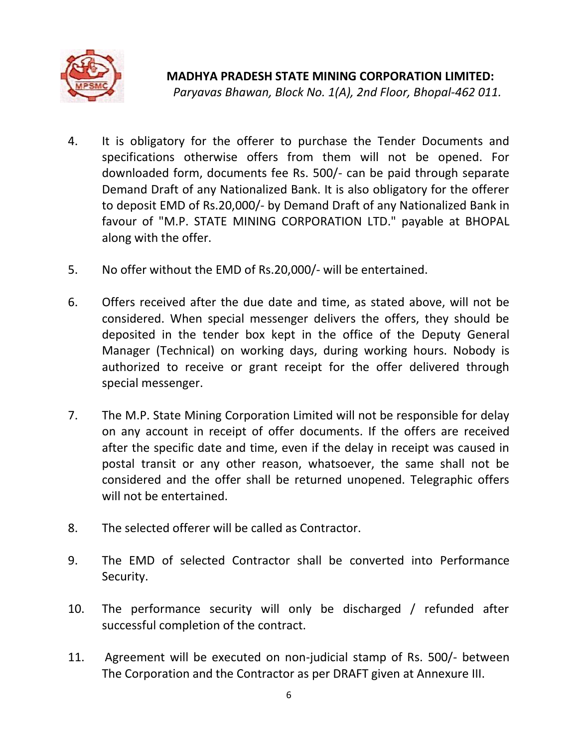

**MADHYA PRADESH STATE MINING CORPORATION LIMITED:** *Paryavas Bhawan, Block No. 1(A), 2nd Floor, Bhopal-462 011.*

- 4. It is obligatory for the offerer to purchase the Tender Documents and specifications otherwise offers from them will not be opened. For downloaded form, documents fee Rs. 500/- can be paid through separate Demand Draft of any Nationalized Bank. It is also obligatory for the offerer to deposit EMD of Rs.20,000/- by Demand Draft of any Nationalized Bank in favour of "M.P. STATE MINING CORPORATION LTD." payable at BHOPAL along with the offer.
- 5. No offer without the EMD of Rs.20,000/- will be entertained.
- 6. Offers received after the due date and time, as stated above, will not be considered. When special messenger delivers the offers, they should be deposited in the tender box kept in the office of the Deputy General Manager (Technical) on working days, during working hours. Nobody is authorized to receive or grant receipt for the offer delivered through special messenger.
- 7. The M.P. State Mining Corporation Limited will not be responsible for delay on any account in receipt of offer documents. If the offers are received after the specific date and time, even if the delay in receipt was caused in postal transit or any other reason, whatsoever, the same shall not be considered and the offer shall be returned unopened. Telegraphic offers will not be entertained.
- 8. The selected offerer will be called as Contractor.
- 9. The EMD of selected Contractor shall be converted into Performance Security.
- 10. The performance security will only be discharged / refunded after successful completion of the contract.
- 11. Agreement will be executed on non-judicial stamp of Rs. 500/- between The Corporation and the Contractor as per DRAFT given at Annexure III.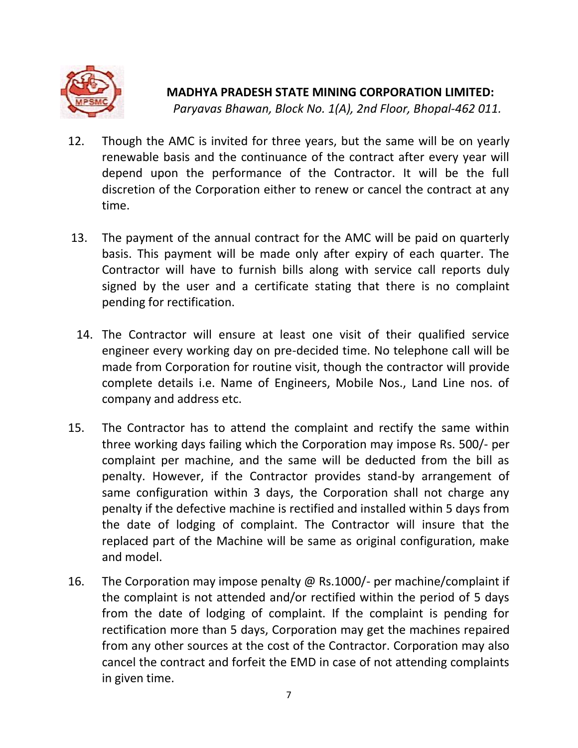

- 12. Though the AMC is invited for three years, but the same will be on yearly renewable basis and the continuance of the contract after every year will depend upon the performance of the Contractor. It will be the full discretion of the Corporation either to renew or cancel the contract at any time.
- 13. The payment of the annual contract for the AMC will be paid on quarterly basis. This payment will be made only after expiry of each quarter. The Contractor will have to furnish bills along with service call reports duly signed by the user and a certificate stating that there is no complaint pending for rectification.
- 14. The Contractor will ensure at least one visit of their qualified service engineer every working day on pre-decided time. No telephone call will be made from Corporation for routine visit, though the contractor will provide complete details i.e. Name of Engineers, Mobile Nos., Land Line nos. of company and address etc.
- 15. The Contractor has to attend the complaint and rectify the same within three working days failing which the Corporation may impose Rs. 500/- per complaint per machine, and the same will be deducted from the bill as penalty. However, if the Contractor provides stand-by arrangement of same configuration within 3 days, the Corporation shall not charge any penalty if the defective machine is rectified and installed within 5 days from the date of lodging of complaint. The Contractor will insure that the replaced part of the Machine will be same as original configuration, make and model.
- 16. The Corporation may impose penalty @ Rs.1000/- per machine/complaint if the complaint is not attended and/or rectified within the period of 5 days from the date of lodging of complaint. If the complaint is pending for rectification more than 5 days, Corporation may get the machines repaired from any other sources at the cost of the Contractor. Corporation may also cancel the contract and forfeit the EMD in case of not attending complaints in given time.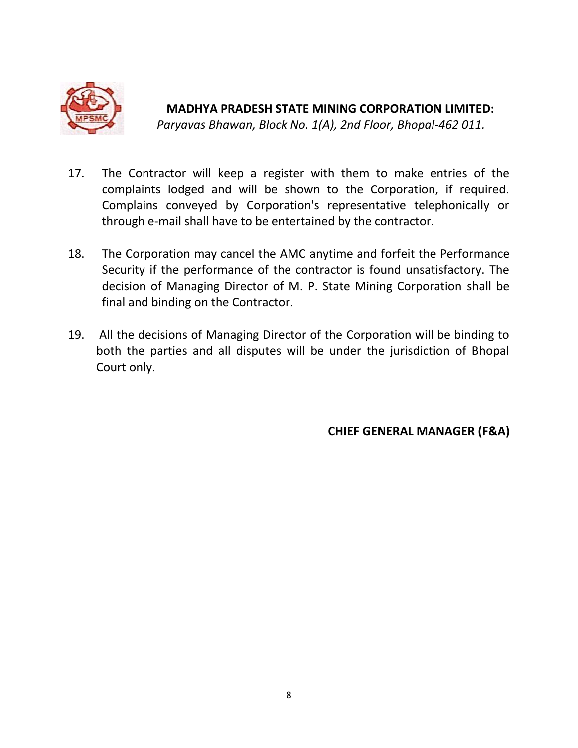

*Paryavas Bhawan, Block No. 1(A), 2nd Floor, Bhopal-462 011.*

- 17. The Contractor will keep a register with them to make entries of the complaints lodged and will be shown to the Corporation, if required. Complains conveyed by Corporation's representative telephonically or through e-mail shall have to be entertained by the contractor.
- 18. The Corporation may cancel the AMC anytime and forfeit the Performance Security if the performance of the contractor is found unsatisfactory. The decision of Managing Director of M. P. State Mining Corporation shall be final and binding on the Contractor.
- 19. All the decisions of Managing Director of the Corporation will be binding to both the parties and all disputes will be under the jurisdiction of Bhopal Court only.

**CHIEF GENERAL MANAGER (F&A)**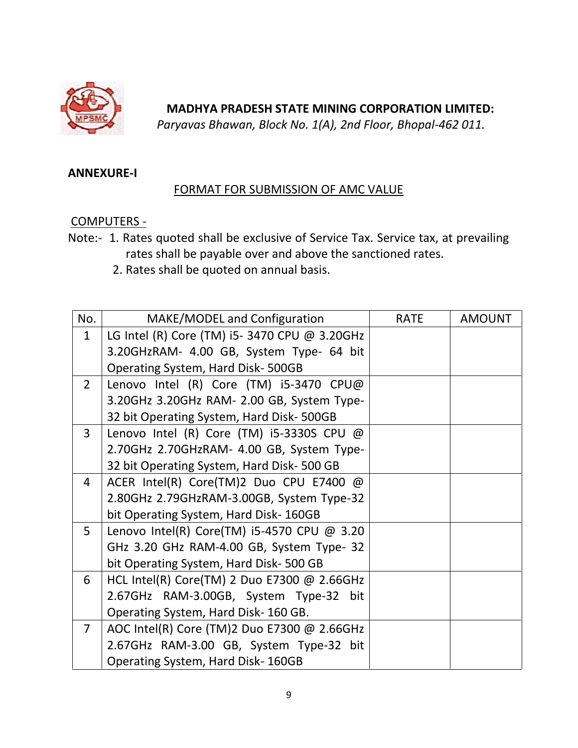

*Paryavas Bhawan, Block No. 1(A), 2nd Floor, Bhopal-462 011.*

### **ANNEXURE-I**

### FORMAT FOR SUBMISSION OF AMC VALUE

### COMPUTERS -

- Note:- 1. Rates quoted shall be exclusive of Service Tax. Service tax, at prevailing rates shall be payable over and above the sanctioned rates.
	- 2. Rates shall be quoted on annual basis.

| No.            | MAKE/MODEL and Configuration                 | <b>RATE</b> | <b>AMOUNT</b> |
|----------------|----------------------------------------------|-------------|---------------|
| $\mathbf{1}$   | LG Intel (R) Core (TM) i5-3470 CPU @ 3.20GHz |             |               |
|                | 3.20GHzRAM- 4.00 GB, System Type- 64 bit     |             |               |
|                | Operating System, Hard Disk-500GB            |             |               |
| $2^{\circ}$    | Lenovo Intel (R) Core (TM) i5-3470 CPU@      |             |               |
|                | 3.20GHz 3.20GHz RAM- 2.00 GB, System Type-   |             |               |
|                | 32 bit Operating System, Hard Disk-500GB     |             |               |
| $\overline{3}$ | Lenovo Intel (R) Core (TM) i5-3330S CPU $@$  |             |               |
|                | 2.70GHz 2.70GHzRAM- 4.00 GB, System Type-    |             |               |
|                | 32 bit Operating System, Hard Disk- 500 GB   |             |               |
| $\overline{4}$ | ACER Intel(R) Core(TM)2 Duo CPU E7400 @      |             |               |
|                | 2.80GHz 2.79GHzRAM-3.00GB, System Type-32    |             |               |
|                | bit Operating System, Hard Disk- 160GB       |             |               |
| 5 <sup>1</sup> | Lenovo Intel(R) Core(TM) i5-4570 CPU @ 3.20  |             |               |
|                | GHz 3.20 GHz RAM-4.00 GB, System Type- 32    |             |               |
|                | bit Operating System, Hard Disk-500 GB       |             |               |
| 6              | HCL Intel(R) Core(TM) 2 Duo E7300 @ 2.66GHz  |             |               |
|                | 2.67GHz RAM-3.00GB, System Type-32 bit       |             |               |
|                | Operating System, Hard Disk-160 GB.          |             |               |
| $\overline{7}$ | AOC Intel(R) Core (TM)2 Duo E7300 @ 2.66GHz  |             |               |
|                | 2.67GHz RAM-3.00 GB, System Type-32 bit      |             |               |
|                | Operating System, Hard Disk-160GB            |             |               |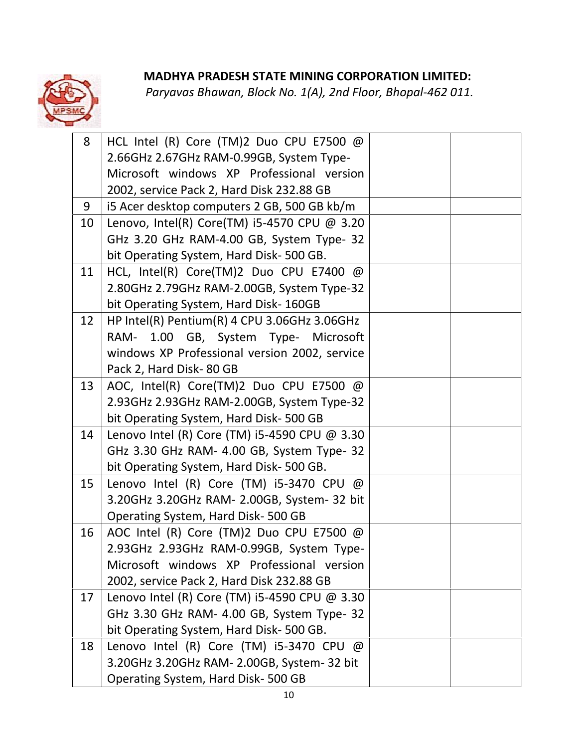| 8  | HCL Intel (R) Core (TM)2 Duo CPU E7500 @      |  |
|----|-----------------------------------------------|--|
|    | 2.66GHz 2.67GHz RAM-0.99GB, System Type-      |  |
|    | Microsoft windows XP Professional version     |  |
|    | 2002, service Pack 2, Hard Disk 232.88 GB     |  |
| 9  | i5 Acer desktop computers 2 GB, 500 GB kb/m   |  |
| 10 | Lenovo, Intel(R) Core(TM) i5-4570 CPU @ 3.20  |  |
|    | GHz 3.20 GHz RAM-4.00 GB, System Type- 32     |  |
|    | bit Operating System, Hard Disk-500 GB.       |  |
| 11 | HCL, Intel(R) Core(TM)2 Duo CPU E7400 @       |  |
|    | 2.80GHz 2.79GHz RAM-2.00GB, System Type-32    |  |
|    | bit Operating System, Hard Disk-160GB         |  |
| 12 | HP Intel(R) Pentium(R) 4 CPU 3.06GHz 3.06GHz  |  |
|    | 1.00 GB, System Type- Microsoft<br>RAM-       |  |
|    | windows XP Professional version 2002, service |  |
|    | Pack 2, Hard Disk-80 GB                       |  |
| 13 | AOC, Intel(R) Core(TM)2 Duo CPU E7500 @       |  |
|    | 2.93GHz 2.93GHz RAM-2.00GB, System Type-32    |  |
|    | bit Operating System, Hard Disk-500 GB        |  |
| 14 | Lenovo Intel (R) Core (TM) i5-4590 CPU @ 3.30 |  |
|    | GHz 3.30 GHz RAM- 4.00 GB, System Type- 32    |  |
|    | bit Operating System, Hard Disk- 500 GB.      |  |
| 15 | Lenovo Intel (R) Core (TM) i5-3470 CPU @      |  |
|    | 3.20GHz 3.20GHz RAM- 2.00GB, System- 32 bit   |  |
|    | Operating System, Hard Disk-500 GB            |  |
| 16 | AOC Intel (R) Core (TM)2 Duo CPU E7500 @      |  |
|    | 2.93GHz 2.93GHz RAM-0.99GB, System Type-      |  |
|    | Microsoft windows XP Professional version     |  |
|    | 2002, service Pack 2, Hard Disk 232.88 GB     |  |
| 17 | Lenovo Intel (R) Core (TM) i5-4590 CPU @ 3.30 |  |
|    | GHz 3.30 GHz RAM- 4.00 GB, System Type- 32    |  |
|    | bit Operating System, Hard Disk- 500 GB.      |  |
| 18 | Lenovo Intel (R) Core (TM) $i5-3470$ CPU @    |  |
|    | 3.20GHz 3.20GHz RAM- 2.00GB, System- 32 bit   |  |
|    | Operating System, Hard Disk-500 GB            |  |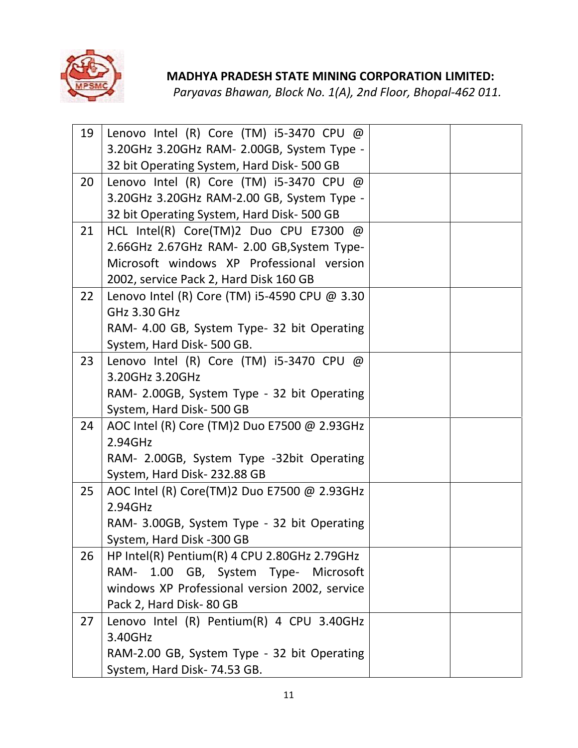

| 19 | Lenovo Intel (R) Core (TM) i5-3470 CPU $@$<br>3.20GHz 3.20GHz RAM- 2.00GB, System Type - |  |
|----|------------------------------------------------------------------------------------------|--|
|    | 32 bit Operating System, Hard Disk-500 GB                                                |  |
| 20 | Lenovo Intel (R) Core (TM) i5-3470 CPU $@$                                               |  |
|    | 3.20GHz 3.20GHz RAM-2.00 GB, System Type -                                               |  |
|    | 32 bit Operating System, Hard Disk-500 GB                                                |  |
| 21 | HCL Intel(R) Core(TM)2 Duo CPU E7300 @                                                   |  |
|    | 2.66GHz 2.67GHz RAM- 2.00 GB, System Type-                                               |  |
|    | Microsoft windows XP Professional version                                                |  |
|    | 2002, service Pack 2, Hard Disk 160 GB                                                   |  |
| 22 | Lenovo Intel (R) Core (TM) i5-4590 CPU @ 3.30                                            |  |
|    | GHz 3.30 GHz                                                                             |  |
|    | RAM- 4.00 GB, System Type- 32 bit Operating                                              |  |
|    | System, Hard Disk- 500 GB.                                                               |  |
| 23 | Lenovo Intel (R) Core (TM) i5-3470 CPU $@$                                               |  |
|    | 3.20GHz 3.20GHz                                                                          |  |
|    | RAM- 2.00GB, System Type - 32 bit Operating                                              |  |
| 24 | System, Hard Disk- 500 GB<br>AOC Intel (R) Core (TM)2 Duo E7500 @ 2.93GHz                |  |
|    | 2.94GHz                                                                                  |  |
|    | RAM- 2.00GB, System Type -32bit Operating                                                |  |
|    | System, Hard Disk-232.88 GB                                                              |  |
| 25 | AOC Intel (R) Core(TM)2 Duo E7500 @ 2.93GHz                                              |  |
|    | 2.94GHz                                                                                  |  |
|    | RAM- 3.00GB, System Type - 32 bit Operating                                              |  |
|    | System, Hard Disk -300 GB                                                                |  |
| 26 | HP Intel(R) Pentium(R) 4 CPU 2.80GHz 2.79GHz                                             |  |
|    | 1.00 GB, System Type- Microsoft<br>RAM-                                                  |  |
|    | windows XP Professional version 2002, service                                            |  |
|    | Pack 2, Hard Disk-80 GB                                                                  |  |
| 27 | Lenovo Intel (R) Pentium(R) 4 CPU 3.40GHz                                                |  |
|    | 3.40GHz                                                                                  |  |
|    | RAM-2.00 GB, System Type - 32 bit Operating                                              |  |
|    | System, Hard Disk- 74.53 GB.                                                             |  |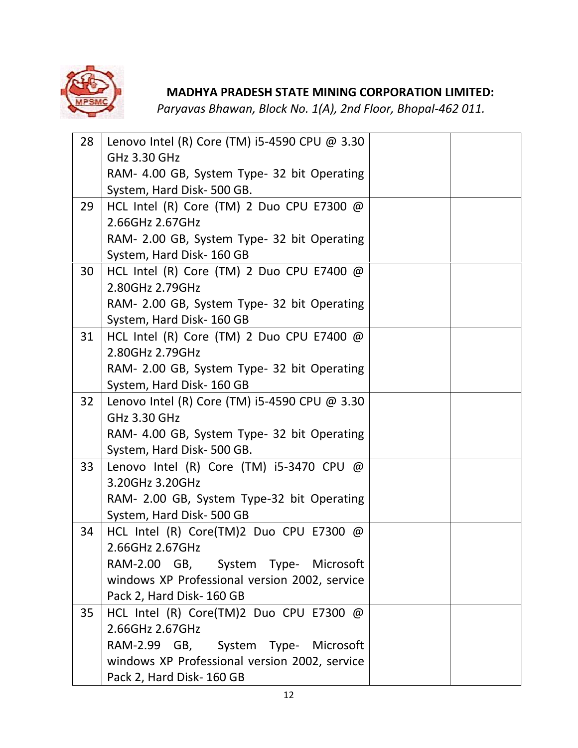

| 28 | Lenovo Intel (R) Core (TM) i5-4590 CPU $@$ 3.30            |  |
|----|------------------------------------------------------------|--|
|    | GHz 3.30 GHz                                               |  |
|    | RAM- 4.00 GB, System Type- 32 bit Operating                |  |
|    | System, Hard Disk-500 GB.                                  |  |
| 29 | HCL Intel (R) Core (TM) 2 Duo CPU E7300 $@$                |  |
|    | 2.66GHz 2.67GHz                                            |  |
|    | RAM- 2.00 GB, System Type- 32 bit Operating                |  |
|    | System, Hard Disk-160 GB                                   |  |
| 30 | HCL Intel (R) Core (TM) 2 Duo CPU E7400 @                  |  |
|    | 2.80GHz 2.79GHz                                            |  |
|    | RAM- 2.00 GB, System Type- 32 bit Operating                |  |
|    | System, Hard Disk-160 GB                                   |  |
| 31 | HCL Intel (R) Core (TM) 2 Duo CPU E7400 @                  |  |
|    | 2.80GHz 2.79GHz                                            |  |
|    | RAM- 2.00 GB, System Type- 32 bit Operating                |  |
|    | System, Hard Disk-160 GB                                   |  |
| 32 | Lenovo Intel (R) Core (TM) i5-4590 CPU @ 3.30              |  |
|    | GHz 3.30 GHz                                               |  |
|    | RAM- 4.00 GB, System Type- 32 bit Operating                |  |
|    | System, Hard Disk- 500 GB.                                 |  |
| 33 | Lenovo Intel (R) Core (TM) i5-3470 CPU $@$                 |  |
|    | 3.20GHz 3.20GHz                                            |  |
|    | RAM- 2.00 GB, System Type-32 bit Operating                 |  |
|    | System, Hard Disk-500 GB                                   |  |
| 34 | HCL Intel (R) Core(TM)2 Duo CPU E7300 @<br>2.66GHz 2.67GHz |  |
|    | RAM-2.00 GB, System Type- Microsoft                        |  |
|    | windows XP Professional version 2002, service              |  |
|    | Pack 2, Hard Disk- 160 GB                                  |  |
| 35 | HCL Intel (R) Core(TM)2 Duo CPU E7300 @                    |  |
|    | 2.66GHz 2.67GHz                                            |  |
|    | RAM-2.99 GB, System Type- Microsoft                        |  |
|    | windows XP Professional version 2002, service              |  |
|    | Pack 2, Hard Disk-160 GB                                   |  |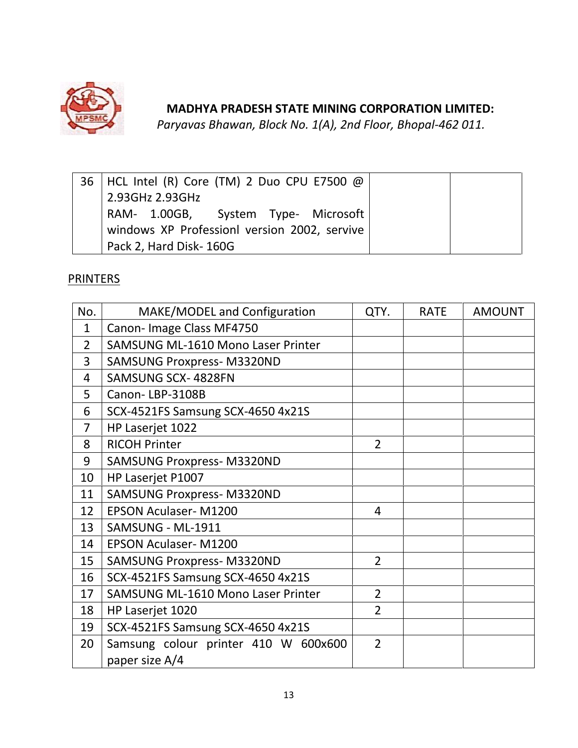

*Paryavas Bhawan, Block No. 1(A), 2nd Floor, Bhopal-462 011.*

| 36   HCL Intel (R) Core (TM) 2 Duo CPU E7500 @ |  |
|------------------------------------------------|--|
| 2.93GHz 2.93GHz                                |  |
| RAM- 1.00GB, System Type- Microsoft            |  |
| windows XP Professionl version 2002, servive   |  |
| Pack 2, Hard Disk-160G                         |  |

**PRINTERS** 

| No.            | MAKE/MODEL and Configuration                           | QTY.           | <b>RATE</b> | <b>AMOUNT</b> |
|----------------|--------------------------------------------------------|----------------|-------------|---------------|
| $\mathbf{1}$   | Canon-Image Class MF4750                               |                |             |               |
| $\overline{2}$ | <b>SAMSUNG ML-1610 Mono Laser Printer</b>              |                |             |               |
| 3              | <b>SAMSUNG Proxpress-M3320ND</b>                       |                |             |               |
| 4              | SAMSUNG SCX-4828FN                                     |                |             |               |
| 5              | Canon-LBP-3108B                                        |                |             |               |
| 6              | SCX-4521FS Samsung SCX-4650 4x21S                      |                |             |               |
| $\overline{7}$ | HP Laserjet 1022                                       |                |             |               |
| 8              | <b>RICOH Printer</b>                                   | $\overline{2}$ |             |               |
| 9              | <b>SAMSUNG Proxpress-M3320ND</b>                       |                |             |               |
| 10             | HP Laserjet P1007                                      |                |             |               |
| 11             | <b>SAMSUNG Proxpress-M3320ND</b>                       |                |             |               |
| 12             | <b>EPSON Aculaser-M1200</b>                            | 4              |             |               |
| 13             | SAMSUNG - ML-1911                                      |                |             |               |
| 14             | <b>EPSON Aculaser-M1200</b>                            |                |             |               |
| 15             | <b>SAMSUNG Proxpress-M3320ND</b>                       | $\overline{2}$ |             |               |
| 16             | SCX-4521FS Samsung SCX-4650 4x21S                      |                |             |               |
| 17             | <b>SAMSUNG ML-1610 Mono Laser Printer</b>              | $\overline{2}$ |             |               |
| 18             | HP Laserjet 1020                                       | $\overline{2}$ |             |               |
| 19             | SCX-4521FS Samsung SCX-4650 4x21S                      |                |             |               |
| 20             | Samsung colour printer 410 W 600x600<br>paper size A/4 | $\overline{2}$ |             |               |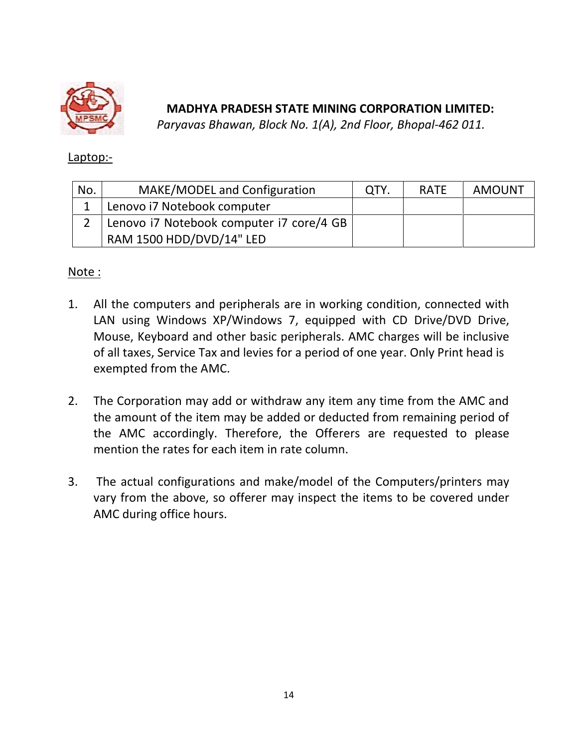

*Paryavas Bhawan, Block No. 1(A), 2nd Floor, Bhopal-462 011.*

### Laptop:-

| No. | MAKE/MODEL and Configuration             | QTY. | <b>RATE</b> | <b>AMOUNT</b> |
|-----|------------------------------------------|------|-------------|---------------|
|     | Lenovo i7 Notebook computer              |      |             |               |
|     | Lenovo i7 Notebook computer i7 core/4 GB |      |             |               |
|     | RAM 1500 HDD/DVD/14" LED                 |      |             |               |

## Note :

- 1. All the computers and peripherals are in working condition, connected with LAN using Windows XP/Windows 7, equipped with CD Drive/DVD Drive, Mouse, Keyboard and other basic peripherals. AMC charges will be inclusive of all taxes, Service Tax and levies for a period of one year. Only Print head is exempted from the AMC.
- 2. The Corporation may add or withdraw any item any time from the AMC and the amount of the item may be added or deducted from remaining period of the AMC accordingly. Therefore, the Offerers are requested to please mention the rates for each item in rate column.
- 3. The actual configurations and make/model of the Computers/printers may vary from the above, so offerer may inspect the items to be covered under AMC during office hours.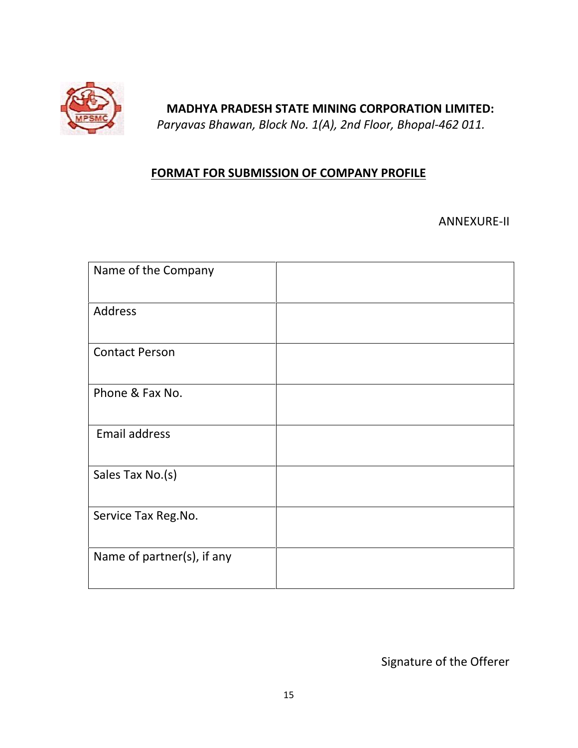

*Paryavas Bhawan, Block No. 1(A), 2nd Floor, Bhopal-462 011.*

# **FORMAT FOR SUBMISSION OF COMPANY PROFILE**

ANNEXURE-II

| Name of the Company        |  |
|----------------------------|--|
| Address                    |  |
| <b>Contact Person</b>      |  |
| Phone & Fax No.            |  |
| Email address              |  |
| Sales Tax No.(s)           |  |
| Service Tax Reg.No.        |  |
| Name of partner(s), if any |  |

Signature of the Offerer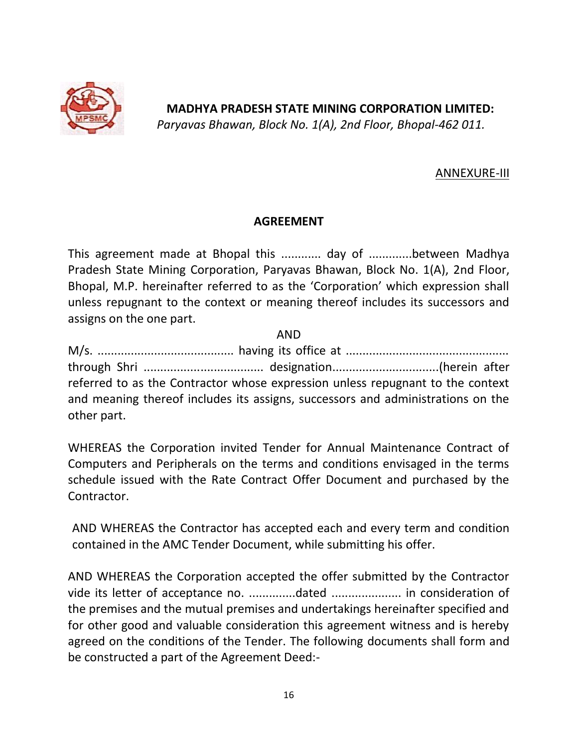

*Paryavas Bhawan, Block No. 1(A), 2nd Floor, Bhopal-462 011.*

### ANNEXURE-III

### **AGREEMENT**

This agreement made at Bhopal this ............ day of .............between Madhya Pradesh State Mining Corporation, Paryavas Bhawan, Block No. 1(A), 2nd Floor, Bhopal, M.P. hereinafter referred to as the 'Corporation' which expression shall unless repugnant to the context or meaning thereof includes its successors and assigns on the one part.

AND

|             | referred to as the Contractor whose expression unless repugnant to the context  |  |
|-------------|---------------------------------------------------------------------------------|--|
|             | and meaning thereof includes its assigns, successors and administrations on the |  |
| other part. |                                                                                 |  |

WHEREAS the Corporation invited Tender for Annual Maintenance Contract of Computers and Peripherals on the terms and conditions envisaged in the terms schedule issued with the Rate Contract Offer Document and purchased by the Contractor.

AND WHEREAS the Contractor has accepted each and every term and condition contained in the AMC Tender Document, while submitting his offer.

AND WHEREAS the Corporation accepted the offer submitted by the Contractor vide its letter of acceptance no. ..............dated ..................... in consideration of the premises and the mutual premises and undertakings hereinafter specified and for other good and valuable consideration this agreement witness and is hereby agreed on the conditions of the Tender. The following documents shall form and be constructed a part of the Agreement Deed:-